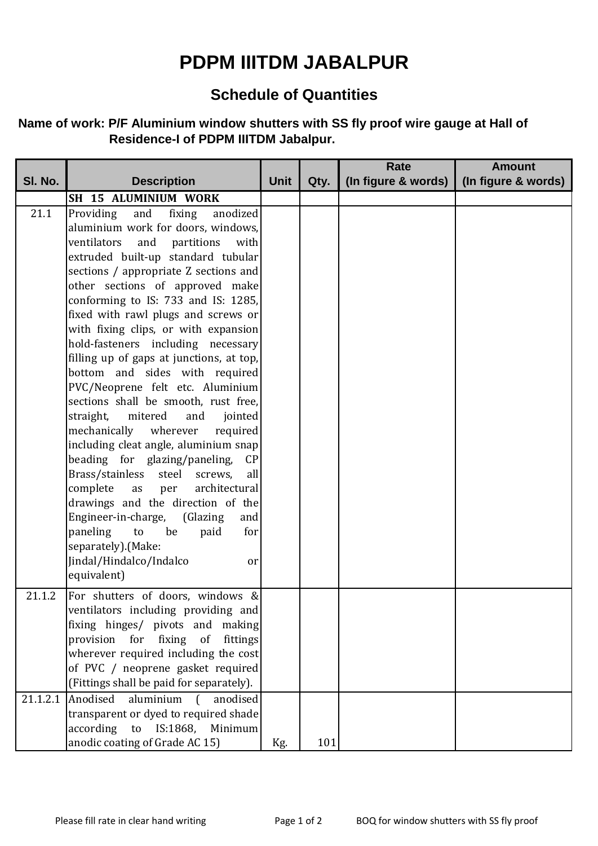## **PDPM IIITDM JABALPUR**

## **Schedule of Quantities**

## **Name of work: P/F Aluminium window shutters with SS fly proof wire gauge at Hall of Residence-I of PDPM IIITDM Jabalpur.**

|          |                                                                             |             |      | Rate                | <b>Amount</b>       |
|----------|-----------------------------------------------------------------------------|-------------|------|---------------------|---------------------|
| SI. No.  | <b>Description</b>                                                          | <b>Unit</b> | Qty. | (In figure & words) | (In figure & words) |
|          | SH 15 ALUMINIUM WORK                                                        |             |      |                     |                     |
| 21.1     | Providing<br>fixing<br>and<br>anodized                                      |             |      |                     |                     |
|          | aluminium work for doors, windows,                                          |             |      |                     |                     |
|          | ventilators<br>and<br>partitions<br>with                                    |             |      |                     |                     |
|          | extruded built-up standard tubular                                          |             |      |                     |                     |
|          | sections / appropriate Z sections and                                       |             |      |                     |                     |
|          | other sections of approved make                                             |             |      |                     |                     |
|          | conforming to IS: 733 and IS: 1285,                                         |             |      |                     |                     |
|          | fixed with rawl plugs and screws or                                         |             |      |                     |                     |
|          | with fixing clips, or with expansion                                        |             |      |                     |                     |
|          | hold-fasteners including necessary                                          |             |      |                     |                     |
|          | filling up of gaps at junctions, at top,                                    |             |      |                     |                     |
|          | bottom and sides with required                                              |             |      |                     |                     |
|          | PVC/Neoprene felt etc. Aluminium                                            |             |      |                     |                     |
|          | sections shall be smooth, rust free,                                        |             |      |                     |                     |
|          | straight,<br>mitered<br>and<br>jointed                                      |             |      |                     |                     |
|          | mechanically wherever<br>required                                           |             |      |                     |                     |
|          | including cleat angle, aluminium snap                                       |             |      |                     |                     |
|          | beading for glazing/paneling,<br>CP                                         |             |      |                     |                     |
|          | Brass/stainless steel<br>screws,<br>all<br>complete as per<br>architectural |             |      |                     |                     |
|          | drawings and the direction of the                                           |             |      |                     |                     |
|          | Engineer-in-charge, (Glazing<br>and                                         |             |      |                     |                     |
|          | paneling<br>to<br>be<br>paid<br>for                                         |             |      |                     |                     |
|          | separately).(Make:                                                          |             |      |                     |                     |
|          | Jindal/Hindalco/Indalco<br>or                                               |             |      |                     |                     |
|          | equivalent)                                                                 |             |      |                     |                     |
|          |                                                                             |             |      |                     |                     |
| 21.1.2   | For shutters of doors, windows &                                            |             |      |                     |                     |
|          | ventilators including providing and                                         |             |      |                     |                     |
|          | fixing hinges/ pivots and making                                            |             |      |                     |                     |
|          | provision for fixing<br>of<br>fittings                                      |             |      |                     |                     |
|          | wherever required including the cost<br>of PVC / neoprene gasket required   |             |      |                     |                     |
|          |                                                                             |             |      |                     |                     |
|          | (Fittings shall be paid for separately).                                    |             |      |                     |                     |
| 21.1.2.1 | Anodised<br>aluminium<br>$\left($<br>anodised                               |             |      |                     |                     |
|          | transparent or dyed to required shade                                       |             |      |                     |                     |
|          | according<br>IS:1868,<br>to<br>Minimum                                      |             |      |                     |                     |
|          | anodic coating of Grade AC 15)                                              | Kg.         | 101  |                     |                     |